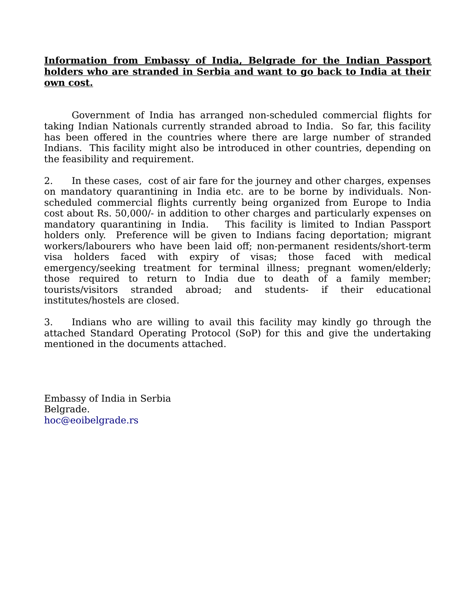## **Information from Embassy of India, Belgrade for the Indian Passport holders who are stranded in Serbia and want to go back to India at their own cost.**

Government of India has arranged non-scheduled commercial flights for taking Indian Nationals currently stranded abroad to India. So far, this facility has been offered in the countries where there are large number of stranded Indians. This facility might also be introduced in other countries, depending on the feasibility and requirement.

2. In these cases, cost of air fare for the journey and other charges, expenses on mandatory quarantining in India etc. are to be borne by individuals. Nonscheduled commercial flights currently being organized from Europe to India cost about Rs. 50,000/- in addition to other charges and particularly expenses on mandatory quarantining in India. This facility is limited to Indian Passport holders only. Preference will be given to Indians facing deportation; migrant workers/labourers who have been laid off; non-permanent residents/short-term visa holders faced with expiry of visas; those faced with medical emergency/seeking treatment for terminal illness; pregnant women/elderly; those required to return to India due to death of a family member; tourists/visitors stranded abroad; and students- if their educational institutes/hostels are closed.

3. Indians who are willing to avail this facility may kindly go through the attached Standard Operating Protocol (SoP) for this and give the undertaking mentioned in the documents attached.

Embassy of India in Serbia Belgrade. [hoc@eoibelgrade.rs](mailto:hoc@eoibelgrade.rs)